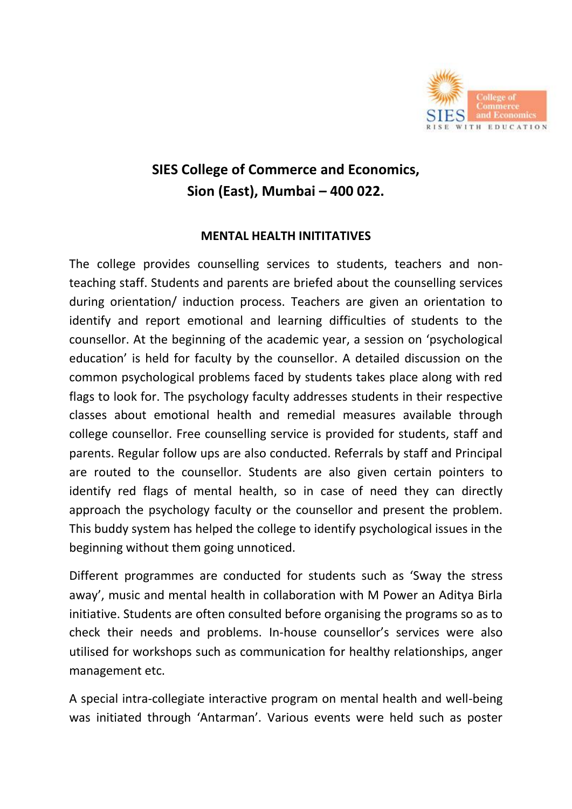

## **SIES College of Commerce and Economics, Sion (East), Mumbai – 400 022.**

## **MENTAL HEALTH INITITATIVES**

The college provides counselling services to students, teachers and nonteaching staff. Students and parents are briefed about the counselling services during orientation/ induction process. Teachers are given an orientation to identify and report emotional and learning difficulties of students to the counsellor. At the beginning of the academic year, a session on 'psychological education' is held for faculty by the counsellor. A detailed discussion on the common psychological problems faced by students takes place along with red flags to look for. The psychology faculty addresses students in their respective classes about emotional health and remedial measures available through college counsellor. Free counselling service is provided for students, staff and parents. Regular follow ups are also conducted. Referrals by staff and Principal are routed to the counsellor. Students are also given certain pointers to identify red flags of mental health, so in case of need they can directly approach the psychology faculty or the counsellor and present the problem. This buddy system has helped the college to identify psychological issues in the beginning without them going unnoticed.

Different programmes are conducted for students such as 'Sway the stress away', music and mental health in collaboration with M Power an Aditya Birla initiative. Students are often consulted before organising the programs so as to check their needs and problems. In-house counsellor's services were also utilised for workshops such as communication for healthy relationships, anger management etc.

A special intra-collegiate interactive program on mental health and well-being was initiated through 'Antarman'. Various events were held such as poster